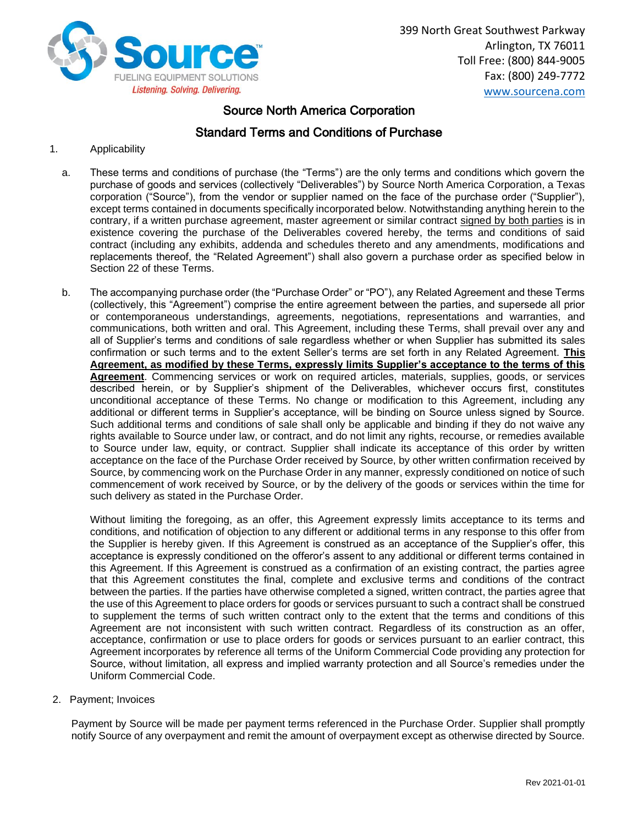

399 North Great Southwest Parkway Arlington, TX 76011 Toll Free: (800) 844-9005 Fax: (800) 249-7772 [www.sourcena.com](http://www.sourcena.com/)

# Source North America Corporation

# Standard Terms and Conditions of Purchase

- 1. Applicability
	- a. These terms and conditions of purchase (the "Terms") are the only terms and conditions which govern the purchase of goods and services (collectively "Deliverables") by Source North America Corporation, a Texas corporation ("Source"), from the vendor or supplier named on the face of the purchase order ("Supplier"), except terms contained in documents specifically incorporated below. Notwithstanding anything herein to the contrary, if a written purchase agreement, master agreement or similar contract signed by both parties is in existence covering the purchase of the Deliverables covered hereby, the terms and conditions of said contract (including any exhibits, addenda and schedules thereto and any amendments, modifications and replacements thereof, the "Related Agreement") shall also govern a purchase order as specified below in Section 22 of these Terms.
	- b. The accompanying purchase order (the "Purchase Order" or "PO"), any Related Agreement and these Terms (collectively, this "Agreement") comprise the entire agreement between the parties, and supersede all prior or contemporaneous understandings, agreements, negotiations, representations and warranties, and communications, both written and oral. This Agreement, including these Terms, shall prevail over any and all of Supplier's terms and conditions of sale regardless whether or when Supplier has submitted its sales confirmation or such terms and to the extent Seller's terms are set forth in any Related Agreement. **This Agreement, as modified by these Terms, expressly limits Supplier's acceptance to the terms of this Agreement**. Commencing services or work on required articles, materials, supplies, goods, or services described herein, or by Supplier's shipment of the Deliverables, whichever occurs first, constitutes unconditional acceptance of these Terms. No change or modification to this Agreement, including any additional or different terms in Supplier's acceptance, will be binding on Source unless signed by Source. Such additional terms and conditions of sale shall only be applicable and binding if they do not waive any rights available to Source under law, or contract, and do not limit any rights, recourse, or remedies available to Source under law, equity, or contract. Supplier shall indicate its acceptance of this order by written acceptance on the face of the Purchase Order received by Source, by other written confirmation received by Source, by commencing work on the Purchase Order in any manner, expressly conditioned on notice of such commencement of work received by Source, or by the delivery of the goods or services within the time for such delivery as stated in the Purchase Order.

Without limiting the foregoing, as an offer, this Agreement expressly limits acceptance to its terms and conditions, and notification of objection to any different or additional terms in any response to this offer from the Supplier is hereby given. If this Agreement is construed as an acceptance of the Supplier's offer, this acceptance is expressly conditioned on the offeror's assent to any additional or different terms contained in this Agreement. If this Agreement is construed as a confirmation of an existing contract, the parties agree that this Agreement constitutes the final, complete and exclusive terms and conditions of the contract between the parties. If the parties have otherwise completed a signed, written contract, the parties agree that the use of this Agreement to place orders for goods or services pursuant to such a contract shall be construed to supplement the terms of such written contract only to the extent that the terms and conditions of this Agreement are not inconsistent with such written contract. Regardless of its construction as an offer, acceptance, confirmation or use to place orders for goods or services pursuant to an earlier contract, this Agreement incorporates by reference all terms of the Uniform Commercial Code providing any protection for Source, without limitation, all express and implied warranty protection and all Source's remedies under the Uniform Commercial Code.

2. Payment; Invoices

Payment by Source will be made per payment terms referenced in the Purchase Order. Supplier shall promptly notify Source of any overpayment and remit the amount of overpayment except as otherwise directed by Source.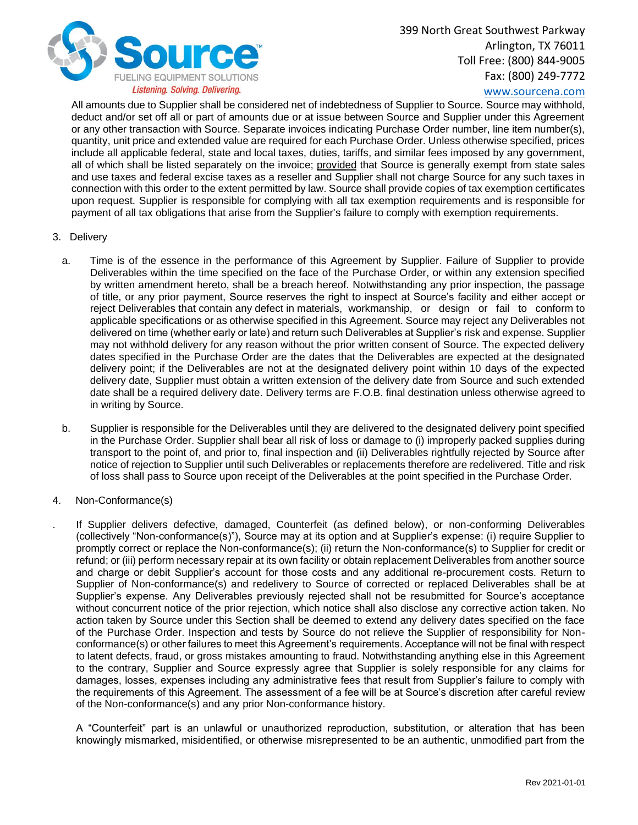

[www.sourcena.com](http://www.sourcena.com/)

All amounts due to Supplier shall be considered net of indebtedness of Supplier to Source. Source may withhold, deduct and/or set off all or part of amounts due or at issue between Source and Supplier under this Agreement or any other transaction with Source. Separate invoices indicating Purchase Order number, line item number(s), quantity, unit price and extended value are required for each Purchase Order. Unless otherwise specified, prices include all applicable federal, state and local taxes, duties, tariffs, and similar fees imposed by any government, all of which shall be listed separately on the invoice; provided that Source is generally exempt from state sales and use taxes and federal excise taxes as a reseller and Supplier shall not charge Source for any such taxes in connection with this order to the extent permitted by law. Source shall provide copies of tax exemption certificates upon request. Supplier is responsible for complying with all tax exemption requirements and is responsible for payment of all tax obligations that arise from the Supplier's failure to comply with exemption requirements.

- 3. Delivery
	- a. Time is of the essence in the performance of this Agreement by Supplier. Failure of Supplier to provide Deliverables within the time specified on the face of the Purchase Order, or within any extension specified by written amendment hereto, shall be a breach hereof. Notwithstanding any prior inspection, the passage of title, or any prior payment, Source reserves the right to inspect at Source's facility and either accept or reject Deliverables that contain any defect in materials, workmanship, or design or fail to conform to applicable specifications or as otherwise specified in this Agreement. Source may reject any Deliverables not delivered on time (whether early or late) and return such Deliverables at Supplier's risk and expense. Supplier may not withhold delivery for any reason without the prior written consent of Source. The expected delivery dates specified in the Purchase Order are the dates that the Deliverables are expected at the designated delivery point; if the Deliverables are not at the designated delivery point within 10 days of the expected delivery date, Supplier must obtain a written extension of the delivery date from Source and such extended date shall be a required delivery date. Delivery terms are F.O.B. final destination unless otherwise agreed to in writing by Source.
	- b. Supplier is responsible for the Deliverables until they are delivered to the designated delivery point specified in the Purchase Order. Supplier shall bear all risk of loss or damage to (i) improperly packed supplies during transport to the point of, and prior to, final inspection and (ii) Deliverables rightfully rejected by Source after notice of rejection to Supplier until such Deliverables or replacements therefore are redelivered. Title and risk of loss shall pass to Source upon receipt of the Deliverables at the point specified in the Purchase Order.
- 4. Non-Conformance(s)
	- . If Supplier delivers defective, damaged, Counterfeit (as defined below), or non-conforming Deliverables (collectively "Non-conformance(s)"), Source may at its option and at Supplier's expense: (i) require Supplier to promptly correct or replace the Non-conformance(s); (ii) return the Non-conformance(s) to Supplier for credit or refund; or (iii) perform necessary repair at its own facility or obtain replacement Deliverables from another source and charge or debit Supplier's account for those costs and any additional re-procurement costs. Return to Supplier of Non-conformance(s) and redelivery to Source of corrected or replaced Deliverables shall be at Supplier's expense. Any Deliverables previously rejected shall not be resubmitted for Source's acceptance without concurrent notice of the prior rejection, which notice shall also disclose any corrective action taken. No action taken by Source under this Section shall be deemed to extend any delivery dates specified on the face of the Purchase Order. Inspection and tests by Source do not relieve the Supplier of responsibility for Nonconformance(s) or other failures to meet this Agreement's requirements. Acceptance will not be final with respect to latent defects, fraud, or gross mistakes amounting to fraud. Notwithstanding anything else in this Agreement to the contrary, Supplier and Source expressly agree that Supplier is solely responsible for any claims for damages, losses, expenses including any administrative fees that result from Supplier's failure to comply with the requirements of this Agreement. The assessment of a fee will be at Source's discretion after careful review of the Non-conformance(s) and any prior Non-conformance history.

A "Counterfeit" part is an unlawful or unauthorized reproduction, substitution, or alteration that has been knowingly mismarked, misidentified, or otherwise misrepresented to be an authentic, unmodified part from the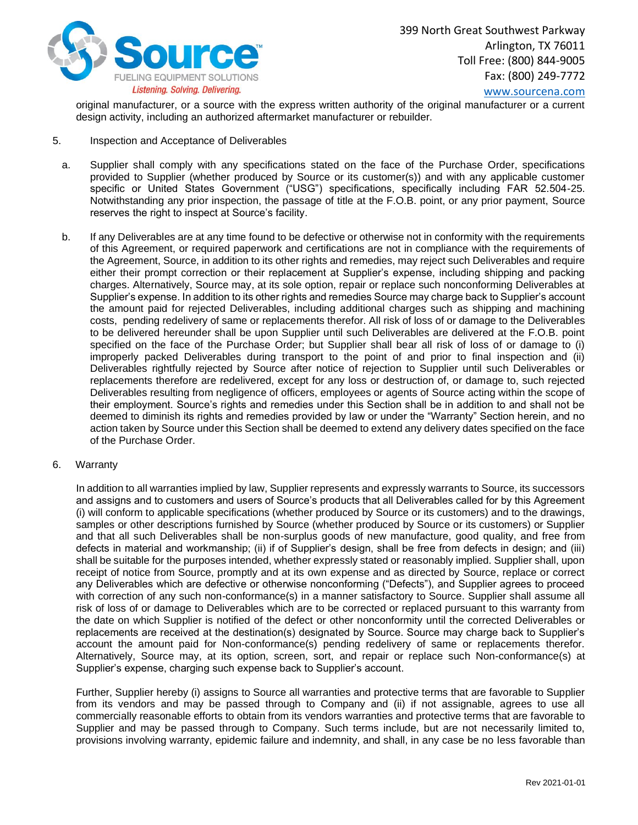

[www.sourcena.com](http://www.sourcena.com/)

original manufacturer, or a source with the express written authority of the original manufacturer or a current design activity, including an authorized aftermarket manufacturer or rebuilder.

- 5. Inspection and Acceptance of Deliverables
	- a. Supplier shall comply with any specifications stated on the face of the Purchase Order, specifications provided to Supplier (whether produced by Source or its customer(s)) and with any applicable customer specific or United States Government ("USG") specifications, specifically including FAR 52.504-25. Notwithstanding any prior inspection, the passage of title at the F.O.B. point, or any prior payment, Source reserves the right to inspect at Source's facility.
	- b. If any Deliverables are at any time found to be defective or otherwise not in conformity with the requirements of this Agreement, or required paperwork and certifications are not in compliance with the requirements of the Agreement, Source, in addition to its other rights and remedies, may reject such Deliverables and require either their prompt correction or their replacement at Supplier's expense, including shipping and packing charges. Alternatively, Source may, at its sole option, repair or replace such nonconforming Deliverables at Supplier's expense. In addition to its other rights and remedies Source may charge back to Supplier's account the amount paid for rejected Deliverables, including additional charges such as shipping and machining costs, pending redelivery of same or replacements therefor. All risk of loss of or damage to the Deliverables to be delivered hereunder shall be upon Supplier until such Deliverables are delivered at the F.O.B. point specified on the face of the Purchase Order; but Supplier shall bear all risk of loss of or damage to (i) improperly packed Deliverables during transport to the point of and prior to final inspection and (ii) Deliverables rightfully rejected by Source after notice of rejection to Supplier until such Deliverables or replacements therefore are redelivered, except for any loss or destruction of, or damage to, such rejected Deliverables resulting from negligence of officers, employees or agents of Source acting within the scope of their employment. Source's rights and remedies under this Section shall be in addition to and shall not be deemed to diminish its rights and remedies provided by law or under the "Warranty" Section herein, and no action taken by Source under this Section shall be deemed to extend any delivery dates specified on the face of the Purchase Order.
- 6. Warranty

In addition to all warranties implied by law, Supplier represents and expressly warrants to Source, its successors and assigns and to customers and users of Source's products that all Deliverables called for by this Agreement (i) will conform to applicable specifications (whether produced by Source or its customers) and to the drawings, samples or other descriptions furnished by Source (whether produced by Source or its customers) or Supplier and that all such Deliverables shall be non-surplus goods of new manufacture, good quality, and free from defects in material and workmanship; (ii) if of Supplier's design, shall be free from defects in design; and (iii) shall be suitable for the purposes intended, whether expressly stated or reasonably implied. Supplier shall, upon receipt of notice from Source, promptly and at its own expense and as directed by Source, replace or correct any Deliverables which are defective or otherwise nonconforming ("Defects"), and Supplier agrees to proceed with correction of any such non-conformance(s) in a manner satisfactory to Source. Supplier shall assume all risk of loss of or damage to Deliverables which are to be corrected or replaced pursuant to this warranty from the date on which Supplier is notified of the defect or other nonconformity until the corrected Deliverables or replacements are received at the destination(s) designated by Source. Source may charge back to Supplier's account the amount paid for Non-conformance(s) pending redelivery of same or replacements therefor. Alternatively, Source may, at its option, screen, sort, and repair or replace such Non-conformance(s) at Supplier's expense, charging such expense back to Supplier's account.

Further, Supplier hereby (i) assigns to Source all warranties and protective terms that are favorable to Supplier from its vendors and may be passed through to Company and (ii) if not assignable, agrees to use all commercially reasonable efforts to obtain from its vendors warranties and protective terms that are favorable to Supplier and may be passed through to Company. Such terms include, but are not necessarily limited to, provisions involving warranty, epidemic failure and indemnity, and shall, in any case be no less favorable than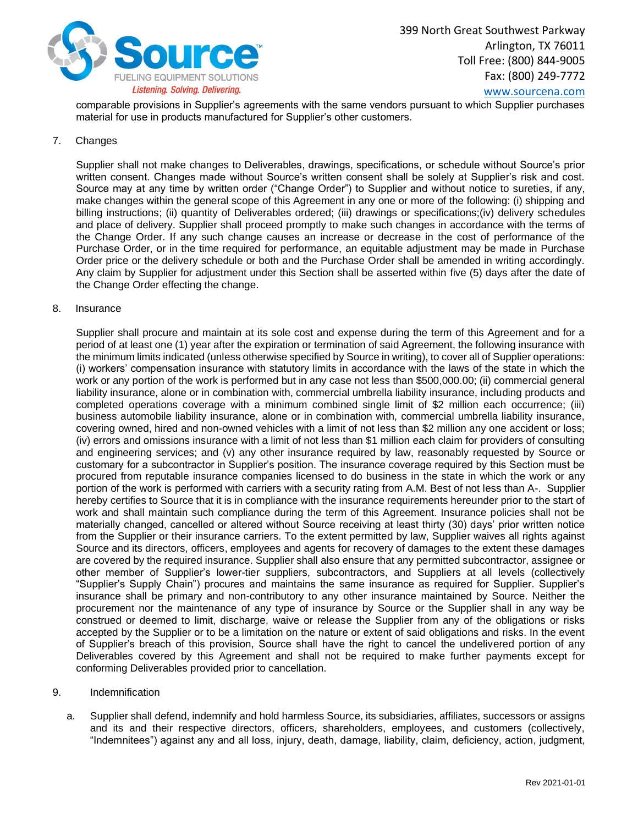

[www.sourcena.com](http://www.sourcena.com/)

comparable provisions in Supplier's agreements with the same vendors pursuant to which Supplier purchases material for use in products manufactured for Supplier's other customers.

# 7. Changes

Supplier shall not make changes to Deliverables, drawings, specifications, or schedule without Source's prior written consent. Changes made without Source's written consent shall be solely at Supplier's risk and cost. Source may at any time by written order ("Change Order") to Supplier and without notice to sureties, if any, make changes within the general scope of this Agreement in any one or more of the following: (i) shipping and billing instructions; (ii) quantity of Deliverables ordered; (iii) drawings or specifications;(iv) delivery schedules and place of delivery. Supplier shall proceed promptly to make such changes in accordance with the terms of the Change Order. If any such change causes an increase or decrease in the cost of performance of the Purchase Order, or in the time required for performance, an equitable adjustment may be made in Purchase Order price or the delivery schedule or both and the Purchase Order shall be amended in writing accordingly. Any claim by Supplier for adjustment under this Section shall be asserted within five (5) days after the date of the Change Order effecting the change.

#### 8. Insurance

Supplier shall procure and maintain at its sole cost and expense during the term of this Agreement and for a period of at least one (1) year after the expiration or termination of said Agreement, the following insurance with the minimum limits indicated (unless otherwise specified by Source in writing), to cover all of Supplier operations: (i) workers' compensation insurance with statutory limits in accordance with the laws of the state in which the work or any portion of the work is performed but in any case not less than \$500,000.00; (ii) commercial general liability insurance, alone or in combination with, commercial umbrella liability insurance, including products and completed operations coverage with a minimum combined single limit of \$2 million each occurrence; (iii) business automobile liability insurance, alone or in combination with, commercial umbrella liability insurance, covering owned, hired and non-owned vehicles with a limit of not less than \$2 million any one accident or loss; (iv) errors and omissions insurance with a limit of not less than \$1 million each claim for providers of consulting and engineering services; and (v) any other insurance required by law, reasonably requested by Source or customary for a subcontractor in Supplier's position. The insurance coverage required by this Section must be procured from reputable insurance companies licensed to do business in the state in which the work or any portion of the work is performed with carriers with a security rating from A.M. Best of not less than A-. Supplier hereby certifies to Source that it is in compliance with the insurance requirements hereunder prior to the start of work and shall maintain such compliance during the term of this Agreement. Insurance policies shall not be materially changed, cancelled or altered without Source receiving at least thirty (30) days' prior written notice from the Supplier or their insurance carriers. To the extent permitted by law, Supplier waives all rights against Source and its directors, officers, employees and agents for recovery of damages to the extent these damages are covered by the required insurance. Supplier shall also ensure that any permitted subcontractor, assignee or other member of Supplier's lower-tier suppliers, subcontractors, and Suppliers at all levels (collectively "Supplier's Supply Chain") procures and maintains the same insurance as required for Supplier. Supplier's insurance shall be primary and non-contributory to any other insurance maintained by Source. Neither the procurement nor the maintenance of any type of insurance by Source or the Supplier shall in any way be construed or deemed to limit, discharge, waive or release the Supplier from any of the obligations or risks accepted by the Supplier or to be a limitation on the nature or extent of said obligations and risks. In the event of Supplier's breach of this provision, Source shall have the right to cancel the undelivered portion of any Deliverables covered by this Agreement and shall not be required to make further payments except for conforming Deliverables provided prior to cancellation.

#### 9. Indemnification

a. Supplier shall defend, indemnify and hold harmless Source, its subsidiaries, affiliates, successors or assigns and its and their respective directors, officers, shareholders, employees, and customers (collectively, "Indemnitees") against any and all loss, injury, death, damage, liability, claim, deficiency, action, judgment,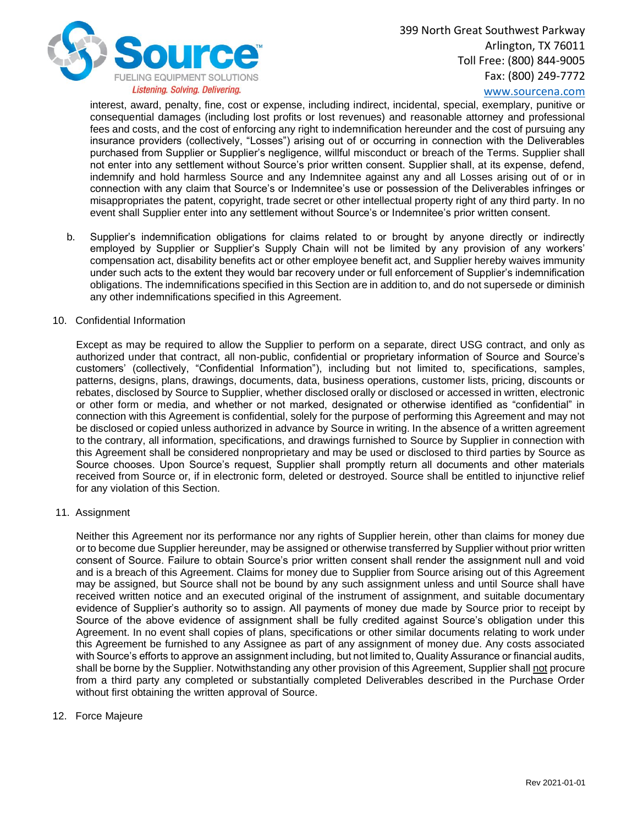

[www.sourcena.com](http://www.sourcena.com/)

interest, award, penalty, fine, cost or expense, including indirect, incidental, special, exemplary, punitive or consequential damages (including lost profits or lost revenues) and reasonable attorney and professional fees and costs, and the cost of enforcing any right to indemnification hereunder and the cost of pursuing any insurance providers (collectively, "Losses") arising out of or occurring in connection with the Deliverables purchased from Supplier or Supplier's negligence, willful misconduct or breach of the Terms. Supplier shall not enter into any settlement without Source's prior written consent. Supplier shall, at its expense, defend, indemnify and hold harmless Source and any Indemnitee against any and all Losses arising out of or in connection with any claim that Source's or Indemnitee's use or possession of the Deliverables infringes or misappropriates the patent, copyright, trade secret or other intellectual property right of any third party. In no event shall Supplier enter into any settlement without Source's or Indemnitee's prior written consent.

b. Supplier's indemnification obligations for claims related to or brought by anyone directly or indirectly employed by Supplier or Supplier's Supply Chain will not be limited by any provision of any workers' compensation act, disability benefits act or other employee benefit act, and Supplier hereby waives immunity under such acts to the extent they would bar recovery under or full enforcement of Supplier's indemnification obligations. The indemnifications specified in this Section are in addition to, and do not supersede or diminish any other indemnifications specified in this Agreement.

#### 10. Confidential Information

Except as may be required to allow the Supplier to perform on a separate, direct USG contract, and only as authorized under that contract, all non-public, confidential or proprietary information of Source and Source's customers' (collectively, "Confidential Information"), including but not limited to, specifications, samples, patterns, designs, plans, drawings, documents, data, business operations, customer lists, pricing, discounts or rebates, disclosed by Source to Supplier, whether disclosed orally or disclosed or accessed in written, electronic or other form or media, and whether or not marked, designated or otherwise identified as "confidential" in connection with this Agreement is confidential, solely for the purpose of performing this Agreement and may not be disclosed or copied unless authorized in advance by Source in writing. In the absence of a written agreement to the contrary, all information, specifications, and drawings furnished to Source by Supplier in connection with this Agreement shall be considered nonproprietary and may be used or disclosed to third parties by Source as Source chooses. Upon Source's request, Supplier shall promptly return all documents and other materials received from Source or, if in electronic form, deleted or destroyed. Source shall be entitled to injunctive relief for any violation of this Section.

## 11. Assignment

Neither this Agreement nor its performance nor any rights of Supplier herein, other than claims for money due or to become due Supplier hereunder, may be assigned or otherwise transferred by Supplier without prior written consent of Source. Failure to obtain Source's prior written consent shall render the assignment null and void and is a breach of this Agreement. Claims for money due to Supplier from Source arising out of this Agreement may be assigned, but Source shall not be bound by any such assignment unless and until Source shall have received written notice and an executed original of the instrument of assignment, and suitable documentary evidence of Supplier's authority so to assign. All payments of money due made by Source prior to receipt by Source of the above evidence of assignment shall be fully credited against Source's obligation under this Agreement. In no event shall copies of plans, specifications or other similar documents relating to work under this Agreement be furnished to any Assignee as part of any assignment of money due. Any costs associated with Source's efforts to approve an assignment including, but not limited to, Quality Assurance or financial audits, shall be borne by the Supplier. Notwithstanding any other provision of this Agreement, Supplier shall not procure from a third party any completed or substantially completed Deliverables described in the Purchase Order without first obtaining the written approval of Source.

## 12. Force Majeure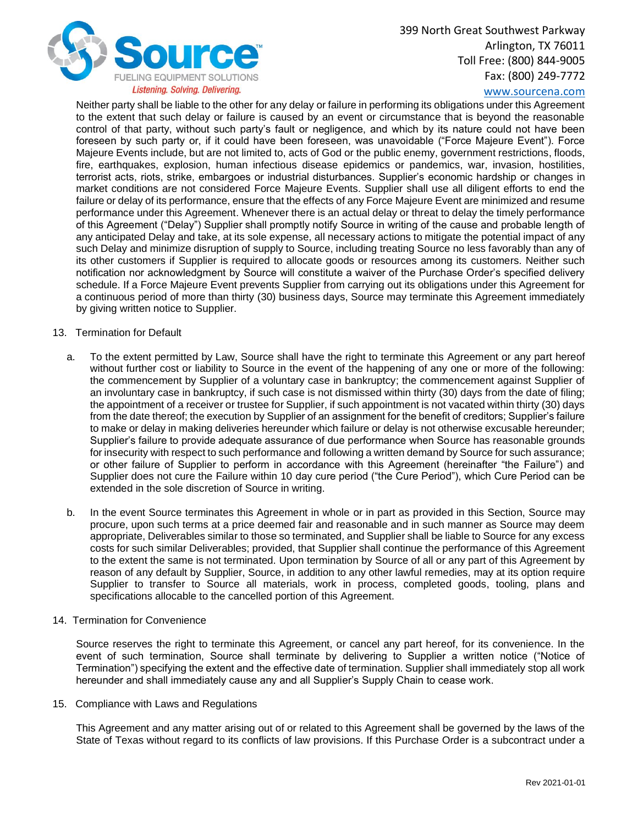

# [www.sourcena.com](http://www.sourcena.com/)

Neither party shall be liable to the other for any delay or failure in performing its obligations under this Agreement to the extent that such delay or failure is caused by an event or circumstance that is beyond the reasonable control of that party, without such party's fault or negligence, and which by its nature could not have been foreseen by such party or, if it could have been foreseen, was unavoidable ("Force Majeure Event"). Force Majeure Events include, but are not limited to, acts of God or the public enemy, government restrictions, floods, fire, earthquakes, explosion, human infectious disease epidemics or pandemics, war, invasion, hostilities, terrorist acts, riots, strike, embargoes or industrial disturbances. Supplier's economic hardship or changes in market conditions are not considered Force Majeure Events. Supplier shall use all diligent efforts to end the failure or delay of its performance, ensure that the effects of any Force Majeure Event are minimized and resume performance under this Agreement. Whenever there is an actual delay or threat to delay the timely performance of this Agreement ("Delay") Supplier shall promptly notify Source in writing of the cause and probable length of any anticipated Delay and take, at its sole expense, all necessary actions to mitigate the potential impact of any such Delay and minimize disruption of supply to Source, including treating Source no less favorably than any of its other customers if Supplier is required to allocate goods or resources among its customers. Neither such notification nor acknowledgment by Source will constitute a waiver of the Purchase Order's specified delivery schedule. If a Force Majeure Event prevents Supplier from carrying out its obligations under this Agreement for a continuous period of more than thirty (30) business days, Source may terminate this Agreement immediately by giving written notice to Supplier.

#### 13. Termination for Default

- a. To the extent permitted by Law, Source shall have the right to terminate this Agreement or any part hereof without further cost or liability to Source in the event of the happening of any one or more of the following: the commencement by Supplier of a voluntary case in bankruptcy; the commencement against Supplier of an involuntary case in bankruptcy, if such case is not dismissed within thirty (30) days from the date of filing; the appointment of a receiver or trustee for Supplier, if such appointment is not vacated within thirty (30) days from the date thereof; the execution by Supplier of an assignment for the benefit of creditors; Supplier's failure to make or delay in making deliveries hereunder which failure or delay is not otherwise excusable hereunder; Supplier's failure to provide adequate assurance of due performance when Source has reasonable grounds for insecurity with respect to such performance and following a written demand by Source for such assurance; or other failure of Supplier to perform in accordance with this Agreement (hereinafter "the Failure") and Supplier does not cure the Failure within 10 day cure period ("the Cure Period"), which Cure Period can be extended in the sole discretion of Source in writing.
- b. In the event Source terminates this Agreement in whole or in part as provided in this Section, Source may procure, upon such terms at a price deemed fair and reasonable and in such manner as Source may deem appropriate, Deliverables similar to those so terminated, and Supplier shall be liable to Source for any excess costs for such similar Deliverables; provided, that Supplier shall continue the performance of this Agreement to the extent the same is not terminated. Upon termination by Source of all or any part of this Agreement by reason of any default by Supplier, Source, in addition to any other lawful remedies, may at its option require Supplier to transfer to Source all materials, work in process, completed goods, tooling, plans and specifications allocable to the cancelled portion of this Agreement.
- 14. Termination for Convenience

Source reserves the right to terminate this Agreement, or cancel any part hereof, for its convenience. In the event of such termination, Source shall terminate by delivering to Supplier a written notice ("Notice of Termination") specifying the extent and the effective date of termination. Supplier shall immediately stop all work hereunder and shall immediately cause any and all Supplier's Supply Chain to cease work.

15. Compliance with Laws and Regulations

This Agreement and any matter arising out of or related to this Agreement shall be governed by the laws of the State of Texas without regard to its conflicts of law provisions. If this Purchase Order is a subcontract under a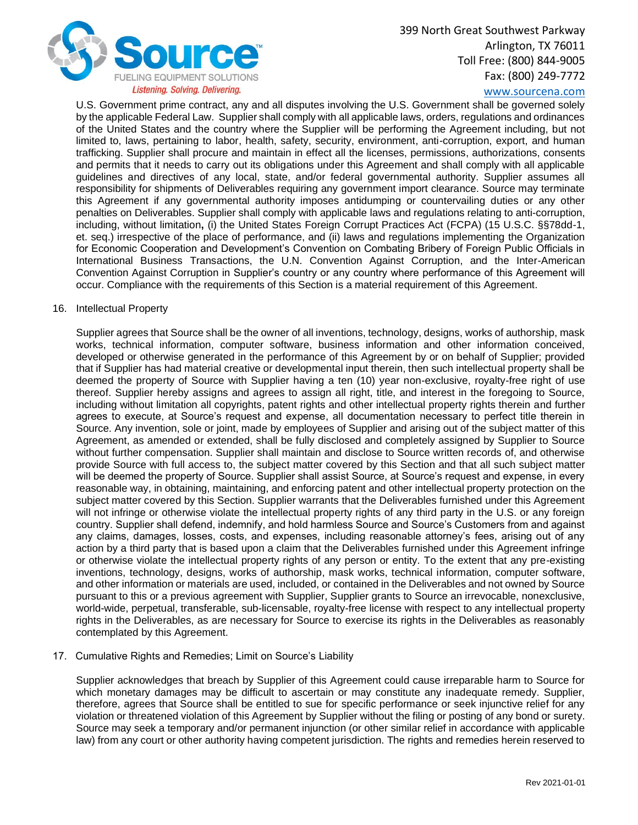

# [www.sourcena.com](http://www.sourcena.com/)

U.S. Government prime contract, any and all disputes involving the U.S. Government shall be governed solely by the applicable Federal Law. Supplier shall comply with all applicable laws, orders, regulations and ordinances of the United States and the country where the Supplier will be performing the Agreement including, but not limited to, laws, pertaining to labor, health, safety, security, environment, anti-corruption, export, and human trafficking. Supplier shall procure and maintain in effect all the licenses, permissions, authorizations, consents and permits that it needs to carry out its obligations under this Agreement and shall comply with all applicable guidelines and directives of any local, state, and/or federal governmental authority. Supplier assumes all responsibility for shipments of Deliverables requiring any government import clearance. Source may terminate this Agreement if any governmental authority imposes antidumping or countervailing duties or any other penalties on Deliverables. Supplier shall comply with applicable laws and regulations relating to anti-corruption, including, without limitation**,** (i) the United States Foreign Corrupt Practices Act (FCPA) (15 U.S.C. §§78dd-1, et. seq.) irrespective of the place of performance, and (ii) laws and regulations implementing the Organization for Economic Cooperation and Development's Convention on Combating Bribery of Foreign Public Officials in International Business Transactions, the U.N. Convention Against Corruption, and the Inter-American Convention Against Corruption in Supplier's country or any country where performance of this Agreement will occur. Compliance with the requirements of this Section is a material requirement of this Agreement.

#### 16. Intellectual Property

Supplier agrees that Source shall be the owner of all inventions, technology, designs, works of authorship, mask works, technical information, computer software, business information and other information conceived, developed or otherwise generated in the performance of this Agreement by or on behalf of Supplier; provided that if Supplier has had material creative or developmental input therein, then such intellectual property shall be deemed the property of Source with Supplier having a ten (10) year non-exclusive, royalty-free right of use thereof. Supplier hereby assigns and agrees to assign all right, title, and interest in the foregoing to Source, including without limitation all copyrights, patent rights and other intellectual property rights therein and further agrees to execute, at Source's request and expense, all documentation necessary to perfect title therein in Source. Any invention, sole or joint, made by employees of Supplier and arising out of the subject matter of this Agreement, as amended or extended, shall be fully disclosed and completely assigned by Supplier to Source without further compensation. Supplier shall maintain and disclose to Source written records of, and otherwise provide Source with full access to, the subject matter covered by this Section and that all such subject matter will be deemed the property of Source. Supplier shall assist Source, at Source's request and expense, in every reasonable way, in obtaining, maintaining, and enforcing patent and other intellectual property protection on the subject matter covered by this Section. Supplier warrants that the Deliverables furnished under this Agreement will not infringe or otherwise violate the intellectual property rights of any third party in the U.S. or any foreign country. Supplier shall defend, indemnify, and hold harmless Source and Source's Customers from and against any claims, damages, losses, costs, and expenses, including reasonable attorney's fees, arising out of any action by a third party that is based upon a claim that the Deliverables furnished under this Agreement infringe or otherwise violate the intellectual property rights of any person or entity. To the extent that any pre-existing inventions, technology, designs, works of authorship, mask works, technical information, computer software, and other information or materials are used, included, or contained in the Deliverables and not owned by Source pursuant to this or a previous agreement with Supplier, Supplier grants to Source an irrevocable, nonexclusive, world-wide, perpetual, transferable, sub-licensable, royalty-free license with respect to any intellectual property rights in the Deliverables, as are necessary for Source to exercise its rights in the Deliverables as reasonably contemplated by this Agreement.

17. Cumulative Rights and Remedies; Limit on Source's Liability

Supplier acknowledges that breach by Supplier of this Agreement could cause irreparable harm to Source for which monetary damages may be difficult to ascertain or may constitute any inadequate remedy. Supplier, therefore, agrees that Source shall be entitled to sue for specific performance or seek injunctive relief for any violation or threatened violation of this Agreement by Supplier without the filing or posting of any bond or surety. Source may seek a temporary and/or permanent injunction (or other similar relief in accordance with applicable law) from any court or other authority having competent jurisdiction. The rights and remedies herein reserved to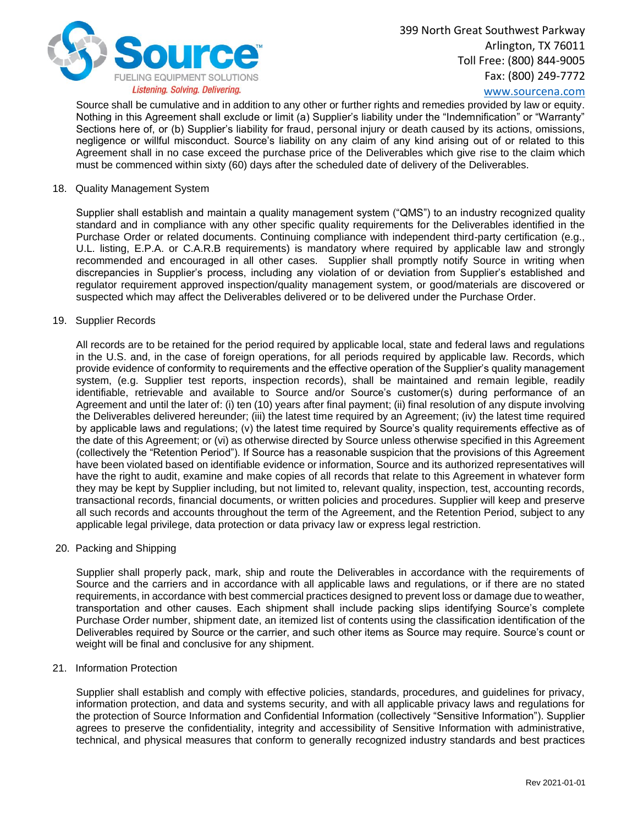

[www.sourcena.com](http://www.sourcena.com/)

Source shall be cumulative and in addition to any other or further rights and remedies provided by law or equity. Nothing in this Agreement shall exclude or limit (a) Supplier's liability under the "Indemnification" or "Warranty" Sections here of, or (b) Supplier's liability for fraud, personal injury or death caused by its actions, omissions, negligence or willful misconduct. Source's liability on any claim of any kind arising out of or related to this Agreement shall in no case exceed the purchase price of the Deliverables which give rise to the claim which must be commenced within sixty (60) days after the scheduled date of delivery of the Deliverables.

#### 18. Quality Management System

Supplier shall establish and maintain a quality management system ("QMS") to an industry recognized quality standard and in compliance with any other specific quality requirements for the Deliverables identified in the Purchase Order or related documents. Continuing compliance with independent third-party certification (e.g., U.L. listing, E.P.A. or C.A.R.B requirements) is mandatory where required by applicable law and strongly recommended and encouraged in all other cases. Supplier shall promptly notify Source in writing when discrepancies in Supplier's process, including any violation of or deviation from Supplier's established and regulator requirement approved inspection/quality management system, or good/materials are discovered or suspected which may affect the Deliverables delivered or to be delivered under the Purchase Order.

#### 19. Supplier Records

All records are to be retained for the period required by applicable local, state and federal laws and regulations in the U.S. and, in the case of foreign operations, for all periods required by applicable law. Records, which provide evidence of conformity to requirements and the effective operation of the Supplier's quality management system, (e.g. Supplier test reports, inspection records), shall be maintained and remain legible, readily identifiable, retrievable and available to Source and/or Source's customer(s) during performance of an Agreement and until the later of: (i) ten (10) years after final payment; (ii) final resolution of any dispute involving the Deliverables delivered hereunder; (iii) the latest time required by an Agreement; (iv) the latest time required by applicable laws and regulations; (v) the latest time required by Source's quality requirements effective as of the date of this Agreement; or (vi) as otherwise directed by Source unless otherwise specified in this Agreement (collectively the "Retention Period"). If Source has a reasonable suspicion that the provisions of this Agreement have been violated based on identifiable evidence or information, Source and its authorized representatives will have the right to audit, examine and make copies of all records that relate to this Agreement in whatever form they may be kept by Supplier including, but not limited to, relevant quality, inspection, test, accounting records, transactional records, financial documents, or written policies and procedures. Supplier will keep and preserve all such records and accounts throughout the term of the Agreement, and the Retention Period, subject to any applicable legal privilege, data protection or data privacy law or express legal restriction.

## 20. Packing and Shipping

Supplier shall properly pack, mark, ship and route the Deliverables in accordance with the requirements of Source and the carriers and in accordance with all applicable laws and regulations, or if there are no stated requirements, in accordance with best commercial practices designed to prevent loss or damage due to weather, transportation and other causes. Each shipment shall include packing slips identifying Source's complete Purchase Order number, shipment date, an itemized list of contents using the classification identification of the Deliverables required by Source or the carrier, and such other items as Source may require. Source's count or weight will be final and conclusive for any shipment.

#### 21. Information Protection

Supplier shall establish and comply with effective policies, standards, procedures, and guidelines for privacy, information protection, and data and systems security, and with all applicable privacy laws and regulations for the protection of Source Information and Confidential Information (collectively "Sensitive Information"). Supplier agrees to preserve the confidentiality, integrity and accessibility of Sensitive Information with administrative, technical, and physical measures that conform to generally recognized industry standards and best practices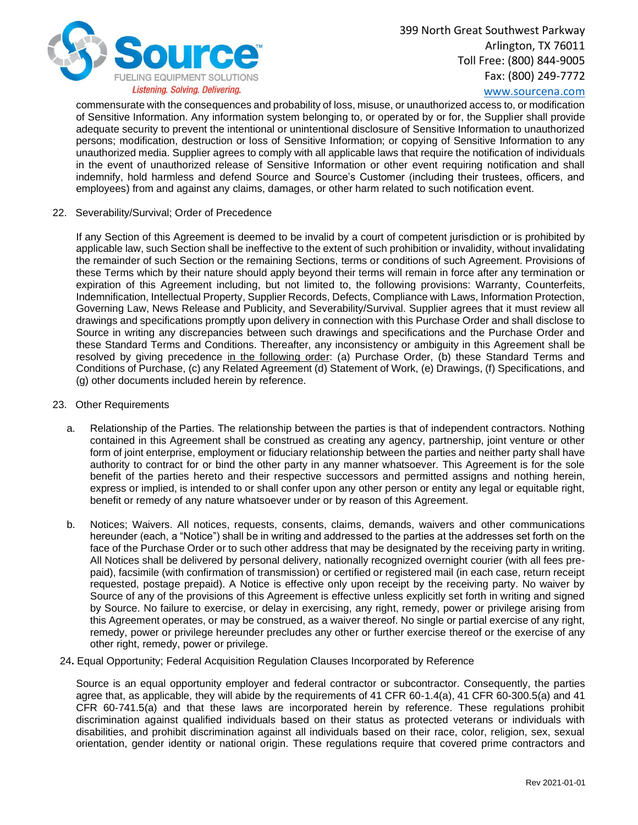

# [www.sourcena.com](http://www.sourcena.com/)

commensurate with the consequences and probability of loss, misuse, or unauthorized access to, or modification of Sensitive Information. Any information system belonging to, or operated by or for, the Supplier shall provide adequate security to prevent the intentional or unintentional disclosure of Sensitive Information to unauthorized persons; modification, destruction or loss of Sensitive Information; or copying of Sensitive Information to any unauthorized media. Supplier agrees to comply with all applicable laws that require the notification of individuals in the event of unauthorized release of Sensitive Information or other event requiring notification and shall indemnify, hold harmless and defend Source and Source's Customer (including their trustees, officers, and employees) from and against any claims, damages, or other harm related to such notification event.

22. Severability/Survival; Order of Precedence

If any Section of this Agreement is deemed to be invalid by a court of competent jurisdiction or is prohibited by applicable law, such Section shall be ineffective to the extent of such prohibition or invalidity, without invalidating the remainder of such Section or the remaining Sections, terms or conditions of such Agreement. Provisions of these Terms which by their nature should apply beyond their terms will remain in force after any termination or expiration of this Agreement including, but not limited to, the following provisions: Warranty, Counterfeits, Indemnification, Intellectual Property, Supplier Records, Defects, Compliance with Laws, Information Protection, Governing Law, News Release and Publicity, and Severability/Survival. Supplier agrees that it must review all drawings and specifications promptly upon delivery in connection with this Purchase Order and shall disclose to Source in writing any discrepancies between such drawings and specifications and the Purchase Order and these Standard Terms and Conditions. Thereafter, any inconsistency or ambiguity in this Agreement shall be resolved by giving precedence in the following order: (a) Purchase Order, (b) these Standard Terms and Conditions of Purchase, (c) any Related Agreement (d) Statement of Work, (e) Drawings, (f) Specifications, and (g) other documents included herein by reference.

- 23. Other Requirements
	- a. Relationship of the Parties. The relationship between the parties is that of independent contractors. Nothing contained in this Agreement shall be construed as creating any agency, partnership, joint venture or other form of joint enterprise, employment or fiduciary relationship between the parties and neither party shall have authority to contract for or bind the other party in any manner whatsoever. This Agreement is for the sole benefit of the parties hereto and their respective successors and permitted assigns and nothing herein, express or implied, is intended to or shall confer upon any other person or entity any legal or equitable right, benefit or remedy of any nature whatsoever under or by reason of this Agreement.
	- b. Notices; Waivers. All notices, requests, consents, claims, demands, waivers and other communications hereunder (each, a "Notice") shall be in writing and addressed to the parties at the addresses set forth on the face of the Purchase Order or to such other address that may be designated by the receiving party in writing. All Notices shall be delivered by personal delivery, nationally recognized overnight courier (with all fees prepaid), facsimile (with confirmation of transmission) or certified or registered mail (in each case, return receipt requested, postage prepaid). A Notice is effective only upon receipt by the receiving party. No waiver by Source of any of the provisions of this Agreement is effective unless explicitly set forth in writing and signed by Source. No failure to exercise, or delay in exercising, any right, remedy, power or privilege arising from this Agreement operates, or may be construed, as a waiver thereof. No single or partial exercise of any right, remedy, power or privilege hereunder precludes any other or further exercise thereof or the exercise of any other right, remedy, power or privilege.
	- 24**.** Equal Opportunity; Federal Acquisition Regulation Clauses Incorporated by Reference

Source is an equal opportunity employer and federal contractor or subcontractor. Consequently, the parties agree that, as applicable, they will abide by the requirements of 41 CFR 60-1.4(a), 41 CFR 60-300.5(a) and 41 CFR 60-741.5(a) and that these laws are incorporated herein by reference. These regulations prohibit discrimination against qualified individuals based on their status as protected veterans or individuals with disabilities, and prohibit discrimination against all individuals based on their race, color, religion, sex, sexual orientation, gender identity or national origin. These regulations require that covered prime contractors and